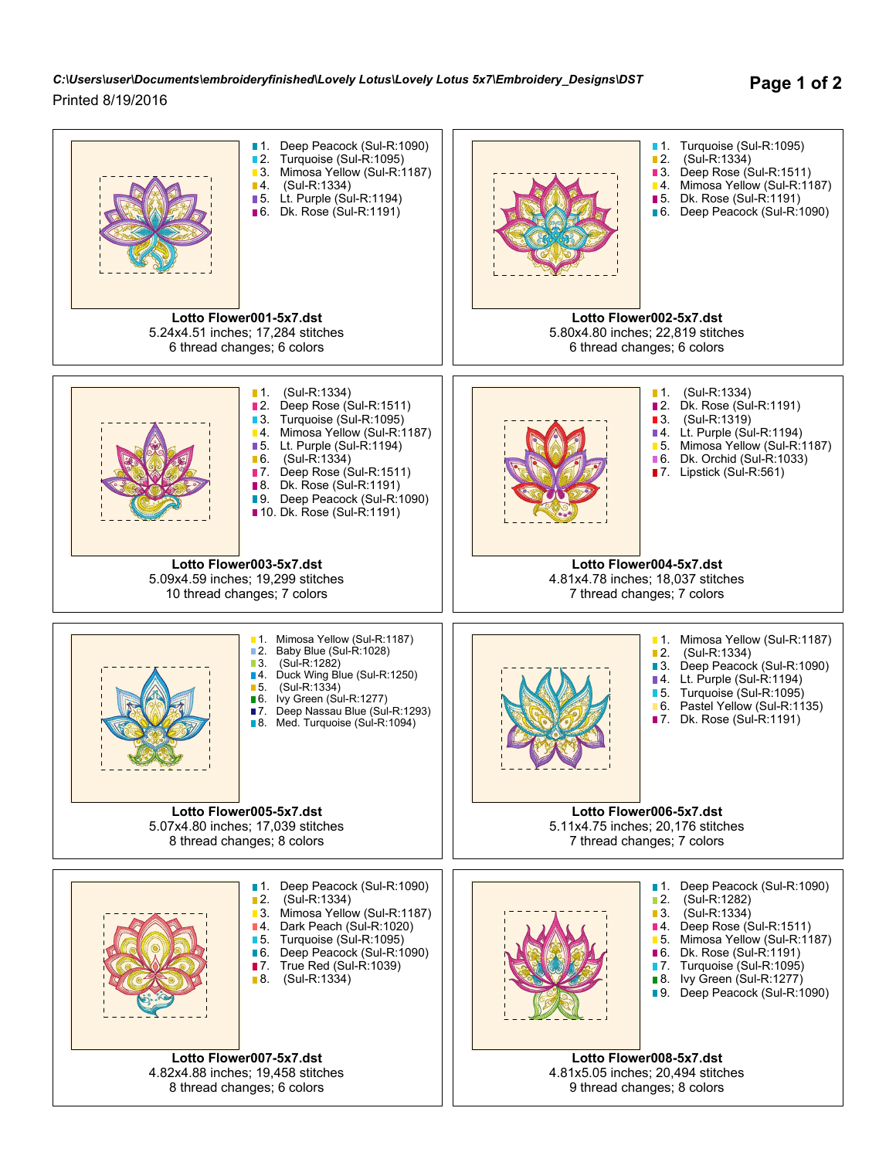